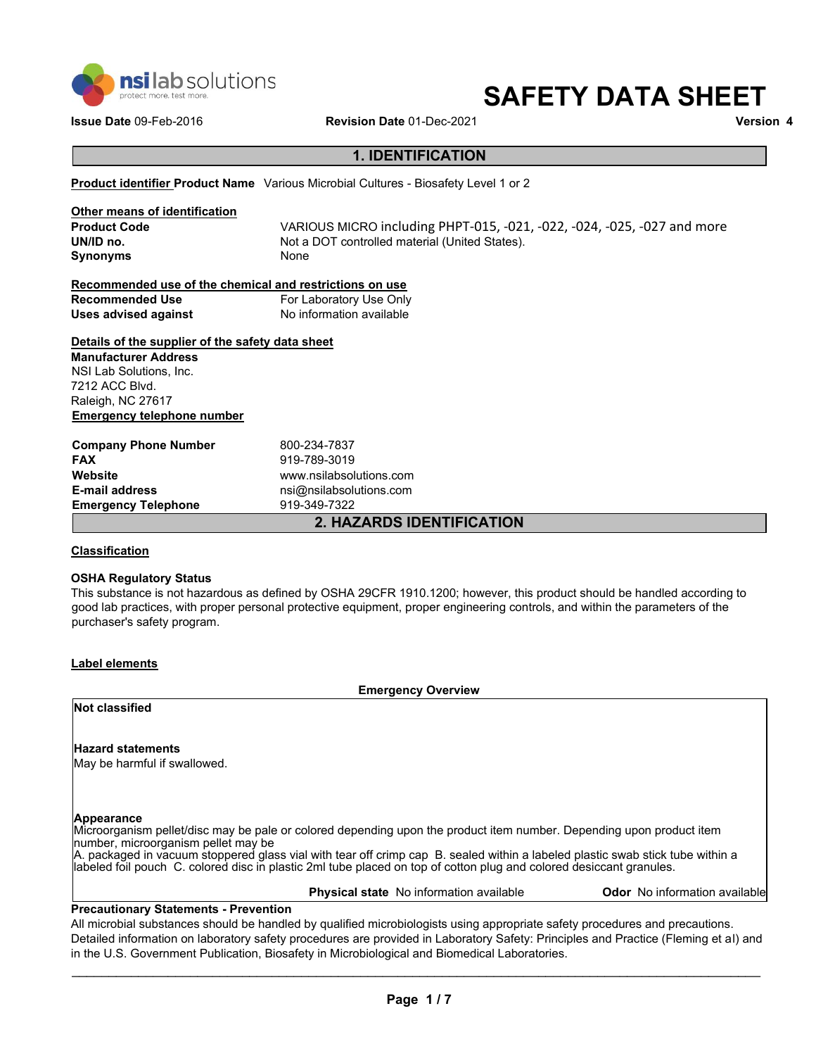

# **SAFETY DATA SHEET**

**Issue Date** 09-Feb-2016 **Revision Date** 01-Dec-2021 **Version 4**

# **1. IDENTIFICATION**

**Product identifier Product Name** Various Microbial Cultures - Biosafety Level 1 or 2

| Other means of identification |                                                                         |
|-------------------------------|-------------------------------------------------------------------------|
| <b>Product Code</b>           | VARIOUS MICRO including PHPT-015, -021, -022, -024, -025, -027 and more |
| UN/ID no.                     | Not a DOT controlled material (United States).                          |
| <b>Synonyms</b>               | None                                                                    |
|                               |                                                                         |

| Recommended use of the chemical and restrictions on use |                          |
|---------------------------------------------------------|--------------------------|
| <b>Recommended Use</b>                                  | For Laboratory Use Only  |
| Uses advised against                                    | No information available |

### **Details of the supplier of the safety data sheet**

**Manufacturer Address**  NSI Lab Solutions, Inc. 7212 ACC Blvd. Raleigh, NC 27617 **Emergency telephone number** 

**Company Phone Number** 800-234-7837 **FAX** 919-789-3019 **Website** www.nsilabsolutions.com **E-mail address**<br> **Emergency Telephone**<br>
219-349-7322 **Emergency Telephone** 

**2. HAZARDS IDENTIFICATION**

### **Classification**

#### **OSHA Regulatory Status**

This substance is not hazardous as defined by OSHA 29CFR 1910.1200; however, this product should be handled according to good lab practices, with proper personal protective equipment, proper engineering controls, and within the parameters of the purchaser's safety program.

### **Label elements**

**Emergency Overview**

### **Not classified**

### **Hazard statements**

May be harmful if swallowed.

#### **Appearance**

Microorganism pellet/disc may be pale or colored depending upon the product item number. Depending upon product item number, microorganism pellet may be

A. packaged in vacuum stoppered glass vial with tear off crimp cap B. sealed within a labeled plastic swab stick tube within a labeled foil pouch C. colored disc in plastic 2ml tube placed on top of cotton plug and colored desiccant granules.

**Physical state** No information available **Odor** No information available

### **Precautionary Statements - Prevention**

All microbial substances should be handled by qualified microbiologists using appropriate safety procedures and precautions. Detailed information on laboratory safety procedures are provided in Laboratory Safety: Principles and Practice (Fleming et al) and in the U.S. Government Publication, Biosafety in Microbiological and Biomedical Laboratories.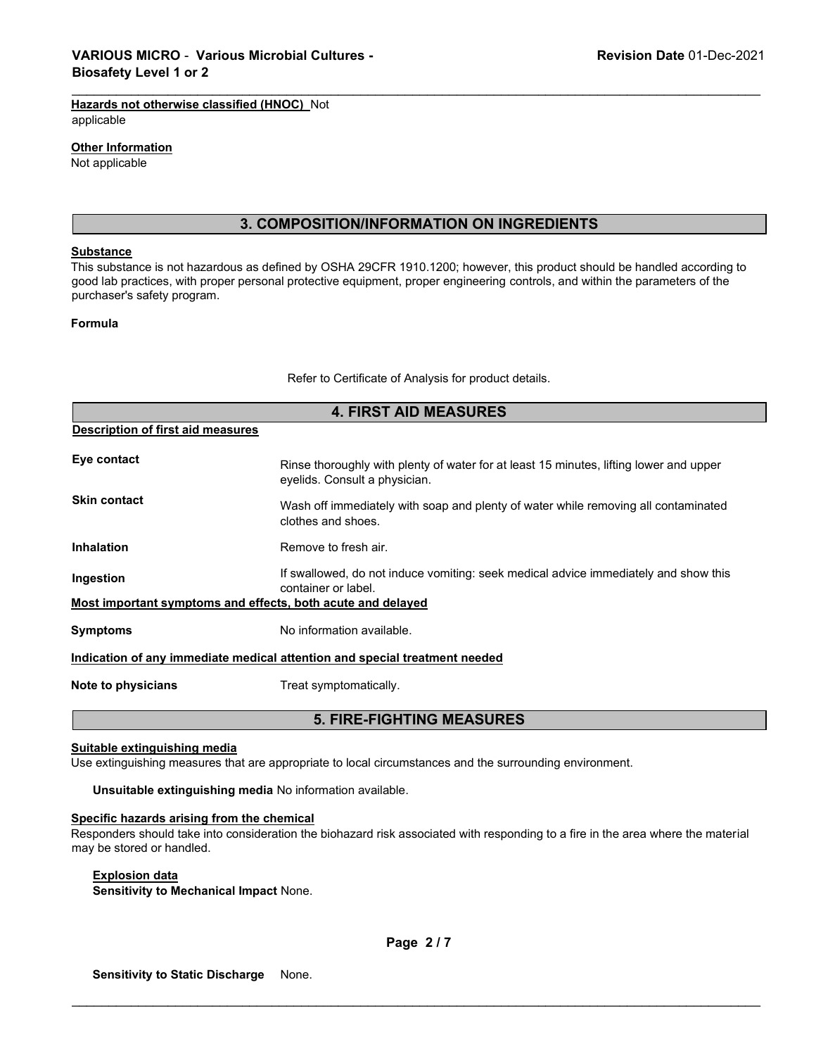# **Hazards not otherwise classified (HNOC)** Not

applicable

### **Other Information**

Not applicable

# **3. COMPOSITION/INFORMATION ON INGREDIENTS**

\_\_\_\_\_\_\_\_\_\_\_\_\_\_\_\_\_\_\_\_\_\_\_\_\_\_\_\_\_\_\_\_\_\_\_\_\_\_\_\_\_\_\_\_\_\_\_\_\_\_\_\_\_\_\_\_\_\_\_\_\_\_\_\_\_\_\_\_\_\_\_\_\_\_\_\_\_\_\_\_\_\_\_\_\_\_\_\_\_\_\_\_\_

#### **Substance**

This substance is not hazardous as defined by OSHA 29CFR 1910.1200; however, this product should be handled according to good lab practices, with proper personal protective equipment, proper engineering controls, and within the parameters of the purchaser's safety program.

### **Formula**

Refer to Certificate of Analysis for product details.

| <b>4. FIRST AID MEASURES</b>                                               |                                                                                                                         |  |
|----------------------------------------------------------------------------|-------------------------------------------------------------------------------------------------------------------------|--|
| <b>Description of first aid measures</b>                                   |                                                                                                                         |  |
| Eye contact                                                                | Rinse thoroughly with plenty of water for at least 15 minutes, lifting lower and upper<br>eyelids. Consult a physician. |  |
| <b>Skin contact</b>                                                        | Wash off immediately with soap and plenty of water while removing all contaminated<br>clothes and shoes.                |  |
| <b>Inhalation</b>                                                          | Remove to fresh air.                                                                                                    |  |
| Ingestion                                                                  | If swallowed, do not induce vomiting: seek medical advice immediately and show this<br>container or label.              |  |
| Most important symptoms and effects, both acute and delayed                |                                                                                                                         |  |
| <b>Symptoms</b>                                                            | No information available.                                                                                               |  |
| Indication of any immediate medical attention and special treatment needed |                                                                                                                         |  |
| Note to physicians                                                         | Treat symptomatically.                                                                                                  |  |

# **5. FIRE-FIGHTING MEASURES**

# **Suitable extinguishing media**

Use extinguishing measures that are appropriate to local circumstances and the surrounding environment.

**Unsuitable extinguishing media** No information available.

### **Specific hazards arising from the chemical**

Responders should take into consideration the biohazard risk associated with responding to a fire in the area where the material may be stored or handled.

### **Explosion data**

**Sensitivity to Mechanical Impact** None.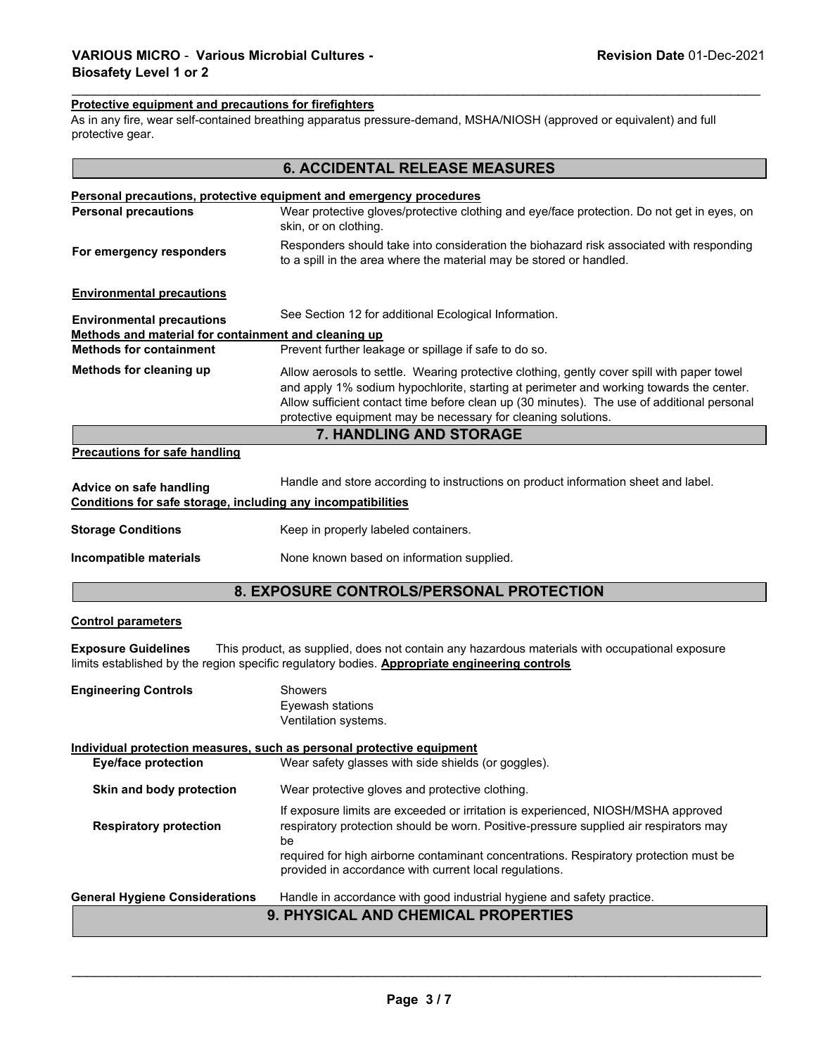### **Protective equipment and precautions for firefighters**

As in any fire, wear self-contained breathing apparatus pressure-demand, MSHA/NIOSH (approved or equivalent) and full protective gear.

\_\_\_\_\_\_\_\_\_\_\_\_\_\_\_\_\_\_\_\_\_\_\_\_\_\_\_\_\_\_\_\_\_\_\_\_\_\_\_\_\_\_\_\_\_\_\_\_\_\_\_\_\_\_\_\_\_\_\_\_\_\_\_\_\_\_\_\_\_\_\_\_\_\_\_\_\_\_\_\_\_\_\_\_\_\_\_\_\_\_\_\_\_

| <b>6. ACCIDENTAL RELEASE MEASURES</b>                                                     |                                                                                                                                                                                                                                                                                                                                                      |  |  |  |
|-------------------------------------------------------------------------------------------|------------------------------------------------------------------------------------------------------------------------------------------------------------------------------------------------------------------------------------------------------------------------------------------------------------------------------------------------------|--|--|--|
|                                                                                           | <b>Personal precautions, protective equipment and emergency procedures</b>                                                                                                                                                                                                                                                                           |  |  |  |
| <b>Personal precautions</b>                                                               | Wear protective gloves/protective clothing and eye/face protection. Do not get in eyes, on<br>skin, or on clothing.                                                                                                                                                                                                                                  |  |  |  |
| For emergency responders                                                                  | Responders should take into consideration the biohazard risk associated with responding<br>to a spill in the area where the material may be stored or handled.                                                                                                                                                                                       |  |  |  |
| <b>Environmental precautions</b>                                                          |                                                                                                                                                                                                                                                                                                                                                      |  |  |  |
| See Section 12 for additional Ecological Information.<br><b>Environmental precautions</b> |                                                                                                                                                                                                                                                                                                                                                      |  |  |  |
| Methods and material for containment and cleaning up                                      |                                                                                                                                                                                                                                                                                                                                                      |  |  |  |
| <b>Methods for containment</b>                                                            | Prevent further leakage or spillage if safe to do so.                                                                                                                                                                                                                                                                                                |  |  |  |
| Methods for cleaning up                                                                   | Allow aerosols to settle. Wearing protective clothing, gently cover spill with paper towel<br>and apply 1% sodium hypochlorite, starting at perimeter and working towards the center.<br>Allow sufficient contact time before clean up (30 minutes). The use of additional personal<br>protective equipment may be necessary for cleaning solutions. |  |  |  |
|                                                                                           | <b>7. HANDLING AND STORAGE</b>                                                                                                                                                                                                                                                                                                                       |  |  |  |
| <b>Precautions for safe handling</b>                                                      |                                                                                                                                                                                                                                                                                                                                                      |  |  |  |
|                                                                                           |                                                                                                                                                                                                                                                                                                                                                      |  |  |  |
| Advice on safe handling                                                                   | Handle and store according to instructions on product information sheet and label.                                                                                                                                                                                                                                                                   |  |  |  |
| Conditions for safe storage, including any incompatibilities                              |                                                                                                                                                                                                                                                                                                                                                      |  |  |  |
| <b>Storage Conditions</b>                                                                 | Keep in properly labeled containers.                                                                                                                                                                                                                                                                                                                 |  |  |  |
| Incompatible materials                                                                    | None known based on information supplied.                                                                                                                                                                                                                                                                                                            |  |  |  |
| 8. EXPOSURE CONTROLS/PERSONAL PROTECTION                                                  |                                                                                                                                                                                                                                                                                                                                                      |  |  |  |
| <b>Control parameters</b>                                                                 |                                                                                                                                                                                                                                                                                                                                                      |  |  |  |
| <b>Exposure Guidelines</b>                                                                | This product, as supplied, does not contain any hazardous materials with occupational exposure<br>limits established by the region specific regulatory bodies. Appropriate engineering controls                                                                                                                                                      |  |  |  |
| <b>Engineering Controls</b>                                                               | <b>Showers</b><br>Eyewash stations<br>Ventilation systems.                                                                                                                                                                                                                                                                                           |  |  |  |
|                                                                                           | Individual protection measures, such as personal protective equipment                                                                                                                                                                                                                                                                                |  |  |  |
| <b>Eye/face protection</b>                                                                | Wear safety glasses with side shields (or goggles).                                                                                                                                                                                                                                                                                                  |  |  |  |
| Skin and body protection                                                                  | Wear protective gloves and protective clothing.                                                                                                                                                                                                                                                                                                      |  |  |  |
| <b>Respiratory protection</b>                                                             | If exposure limits are exceeded or irritation is experienced, NIOSH/MSHA approved<br>respiratory protection should be worn. Positive-pressure supplied air respirators may<br>be<br>required for high airborne contaminant concentrations. Respiratory protection must be<br>provided in accordance with current local regulations.                  |  |  |  |
|                                                                                           |                                                                                                                                                                                                                                                                                                                                                      |  |  |  |
| <b>General Hygiene Considerations</b>                                                     | Handle in accordance with good industrial hygiene and safety practice.                                                                                                                                                                                                                                                                               |  |  |  |
| 9. PHYSICAL AND CHEMICAL PROPERTIES                                                       |                                                                                                                                                                                                                                                                                                                                                      |  |  |  |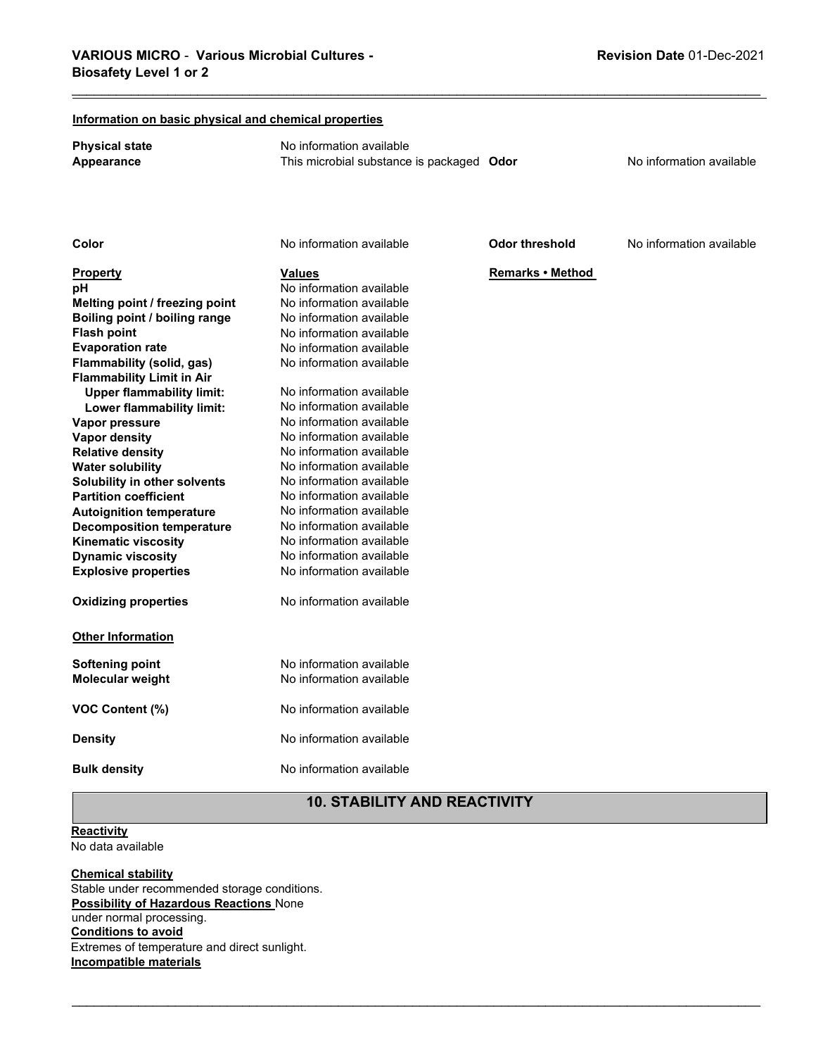| Information on basic physical and chemical properties |                                           |                  |                          |
|-------------------------------------------------------|-------------------------------------------|------------------|--------------------------|
| <b>Physical state</b>                                 | No information available                  |                  |                          |
| Appearance                                            | This microbial substance is packaged Odor |                  | No information available |
|                                                       |                                           |                  |                          |
|                                                       |                                           |                  |                          |
|                                                       |                                           |                  |                          |
|                                                       |                                           |                  |                          |
| Color                                                 | No information available                  | Odor threshold   | No information available |
| Property                                              | <b>Values</b>                             | Remarks . Method |                          |
| рH                                                    | No information available                  |                  |                          |
| Melting point / freezing point                        | No information available                  |                  |                          |
| Boiling point / boiling range                         | No information available                  |                  |                          |
| <b>Flash point</b>                                    | No information available                  |                  |                          |
| <b>Evaporation rate</b>                               | No information available                  |                  |                          |
| Flammability (solid, gas)                             | No information available                  |                  |                          |
| <b>Flammability Limit in Air</b>                      |                                           |                  |                          |
| <b>Upper flammability limit:</b>                      | No information available                  |                  |                          |
| Lower flammability limit:                             | No information available                  |                  |                          |
| Vapor pressure                                        | No information available                  |                  |                          |
| <b>Vapor density</b>                                  | No information available                  |                  |                          |
| <b>Relative density</b>                               | No information available                  |                  |                          |
| <b>Water solubility</b>                               | No information available                  |                  |                          |
| Solubility in other solvents                          | No information available                  |                  |                          |
| <b>Partition coefficient</b>                          | No information available                  |                  |                          |
| <b>Autoignition temperature</b>                       | No information available                  |                  |                          |
| <b>Decomposition temperature</b>                      | No information available                  |                  |                          |
| <b>Kinematic viscosity</b>                            | No information available                  |                  |                          |
| <b>Dynamic viscosity</b>                              | No information available                  |                  |                          |
| <b>Explosive properties</b>                           | No information available                  |                  |                          |
| <b>Oxidizing properties</b>                           | No information available                  |                  |                          |
| <b>Other Information</b>                              |                                           |                  |                          |
| <b>Softening point</b>                                | No information available                  |                  |                          |
| Molecular weight                                      | No information available                  |                  |                          |
|                                                       |                                           |                  |                          |
| VOC Content (%)                                       | No information available                  |                  |                          |
| <b>Density</b>                                        | No information available                  |                  |                          |
| <b>Bulk density</b>                                   | No information available                  |                  |                          |

\_\_\_\_\_\_\_\_\_\_\_\_\_\_\_\_\_\_\_\_\_\_\_\_\_\_\_\_\_\_\_\_\_\_\_\_\_\_\_\_\_\_\_\_\_\_\_\_\_\_\_\_\_\_\_\_\_\_\_\_\_\_\_\_\_\_\_\_\_\_\_\_\_\_\_\_\_\_\_\_\_\_\_\_\_\_\_\_\_\_\_\_\_

# **10. STABILITY AND REACTIVITY**

\_\_\_\_\_\_\_\_\_\_\_\_\_\_\_\_\_\_\_\_\_\_\_\_\_\_\_\_\_\_\_\_\_\_\_\_\_\_\_\_\_\_\_\_\_\_\_\_\_\_\_\_\_\_\_\_\_\_\_\_\_\_\_\_\_\_\_\_\_\_\_\_\_\_\_\_\_\_\_\_\_\_\_\_\_\_\_\_\_\_\_\_\_

**Reactivity** 

No data available

### **Chemical stability** Stable under recommended storage conditions. **Possibility of Hazardous Reactions** None under normal processing. **Conditions to avoid** Extremes of temperature and direct sunlight. **Incompatible materials**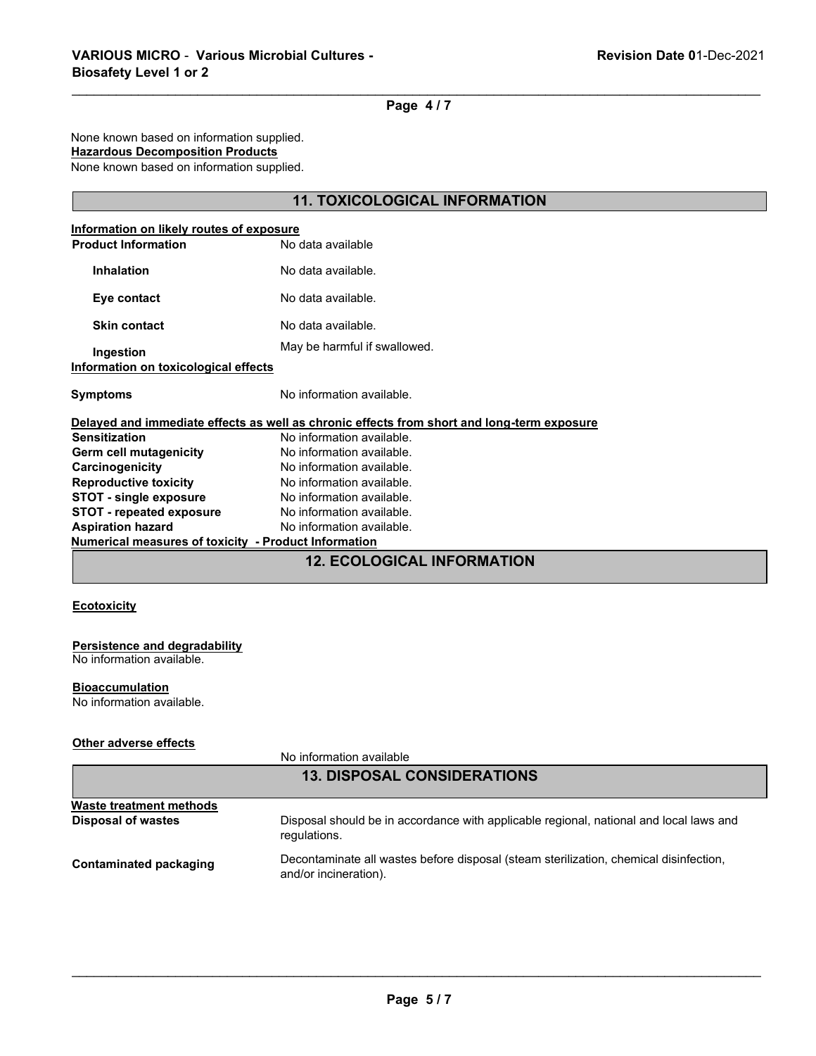\_\_\_\_\_\_\_\_\_\_\_\_\_\_\_\_\_\_\_\_\_\_\_\_\_\_\_\_\_\_\_\_\_\_\_\_\_\_\_\_\_\_\_\_\_\_\_\_\_\_\_\_\_\_\_\_\_\_\_\_\_\_\_\_\_\_\_\_\_\_\_\_\_\_\_\_\_\_\_\_\_\_\_\_\_\_\_\_\_\_\_\_\_ **Page 4 / 7**

None known based on information supplied.

# **Hazardous Decomposition Products**

None known based on information supplied.

# **11. TOXICOLOGICAL INFORMATION**

| Information on likely routes of exposure<br><b>Product Information</b> | No data available                                                                          |  |
|------------------------------------------------------------------------|--------------------------------------------------------------------------------------------|--|
|                                                                        |                                                                                            |  |
| <b>Inhalation</b>                                                      | No data available.                                                                         |  |
| Eye contact                                                            | No data available.                                                                         |  |
| <b>Skin contact</b>                                                    | No data available.                                                                         |  |
| Ingestion                                                              | May be harmful if swallowed.                                                               |  |
| Information on toxicological effects                                   |                                                                                            |  |
| <b>Symptoms</b>                                                        | No information available.                                                                  |  |
|                                                                        | Delayed and immediate effects as well as chronic effects from short and long-term exposure |  |
| <b>Sensitization</b>                                                   | No information available.                                                                  |  |
| Germ cell mutagenicity                                                 | No information available.                                                                  |  |
| Carcinogenicity                                                        | No information available.                                                                  |  |
| <b>Reproductive toxicity</b>                                           | No information available.                                                                  |  |
| <b>STOT - single exposure</b>                                          | No information available.                                                                  |  |
| <b>STOT - repeated exposure</b>                                        | No information available.                                                                  |  |
| <b>Aspiration hazard</b>                                               | No information available.                                                                  |  |
| Numerical measures of toxicity - Product Information                   |                                                                                            |  |
|                                                                        |                                                                                            |  |

# **12. ECOLOGICAL INFORMATION**

# **Ecotoxicity**

### **Persistence and degradability**

No information available.

#### **Bioaccumulation**

No information available.

### **Other adverse effects**

No information available

| <b>13. DISPOSAL CONSIDERATIONS</b> |                                                                                                                |  |
|------------------------------------|----------------------------------------------------------------------------------------------------------------|--|
| Waste treatment methods            |                                                                                                                |  |
| <b>Disposal of wastes</b>          | Disposal should be in accordance with applicable regional, national and local laws and<br>regulations.         |  |
| Contaminated packaging             | Decontaminate all wastes before disposal (steam sterilization, chemical disinfection,<br>and/or incineration). |  |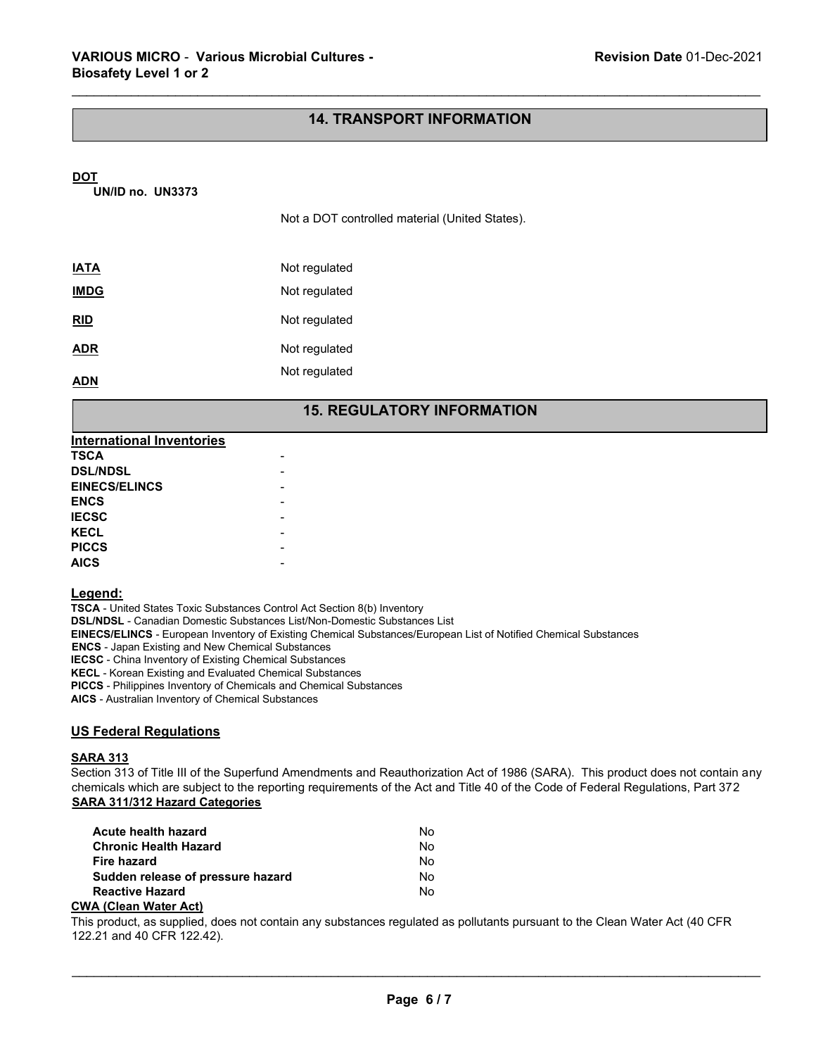# **14. TRANSPORT INFORMATION**

\_\_\_\_\_\_\_\_\_\_\_\_\_\_\_\_\_\_\_\_\_\_\_\_\_\_\_\_\_\_\_\_\_\_\_\_\_\_\_\_\_\_\_\_\_\_\_\_\_\_\_\_\_\_\_\_\_\_\_\_\_\_\_\_\_\_\_\_\_\_\_\_\_\_\_\_\_\_\_\_\_\_\_\_\_\_\_\_\_\_\_\_\_

### **DOT**

**UN/ID no. UN3373**

Not a DOT controlled material (United States).

| Not regulated |
|---------------|
| Not regulated |
| Not regulated |
| Not regulated |
| Not regulated |
|               |

# **15. REGULATORY INFORMATION**

| <b>International Inventories</b> |  |
|----------------------------------|--|
| <b>TSCA</b>                      |  |
| <b>DSL/NDSL</b>                  |  |
| <b>EINECS/ELINCS</b>             |  |
| <b>ENCS</b>                      |  |
| <b>IECSC</b>                     |  |
| <b>KECL</b>                      |  |
| <b>PICCS</b>                     |  |
| <b>AICS</b>                      |  |
|                                  |  |

### **Legend:**

**TSCA** - United States Toxic Substances Control Act Section 8(b) Inventory **DSL/NDSL** - Canadian Domestic Substances List/Non-Domestic Substances List **EINECS/ELINCS** - European Inventory of Existing Chemical Substances/European List of Notified Chemical Substances **ENCS** - Japan Existing and New Chemical Substances **IECSC** - China Inventory of Existing Chemical Substances **KECL** - Korean Existing and Evaluated Chemical Substances **PICCS** - Philippines Inventory of Chemicals and Chemical Substances **AICS** - Australian Inventory of Chemical Substances

# **US Federal Regulations**

### **SARA 313**

Section 313 of Title III of the Superfund Amendments and Reauthorization Act of 1986 (SARA). This product does not contain any chemicals which are subject to the reporting requirements of the Act and Title 40 of the Code of Federal Regulations, Part 372 **SARA 311/312 Hazard Categories** 

| <b>Acute health hazard</b>        | No |
|-----------------------------------|----|
| <b>Chronic Health Hazard</b>      | No |
| Fire hazard                       | No |
| Sudden release of pressure hazard | No |
| <b>Reactive Hazard</b>            | No |
| $18.101 - 0.181 - 0.81$           |    |

### **CWA (Clean Water Act)**

This product, as supplied, does not contain any substances regulated as pollutants pursuant to the Clean Water Act (40 CFR 122.21 and 40 CFR 122.42).